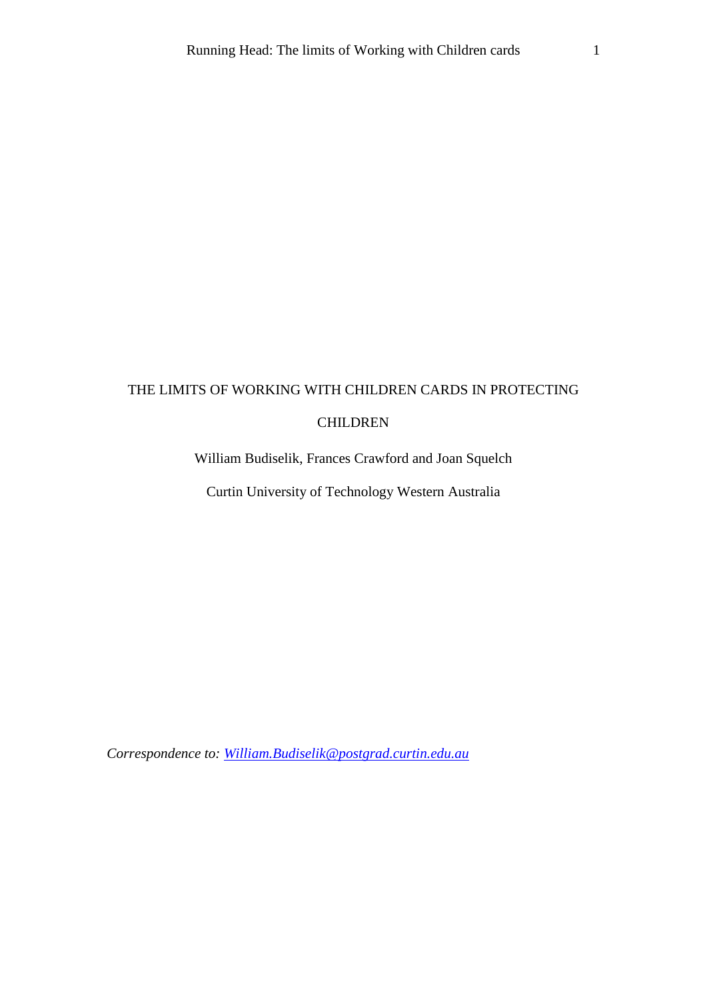# THE LIMITS OF WORKING WITH CHILDREN CARDS IN PROTECTING **CHILDREN**

William Budiselik, Frances Crawford and Joan Squelch

Curtin University of Technology Western Australia

*Correspondence to: [William.Budiselik@postgrad.curtin.edu.au](mailto:William.Budiselik@postgrad.curtin.edu.au)*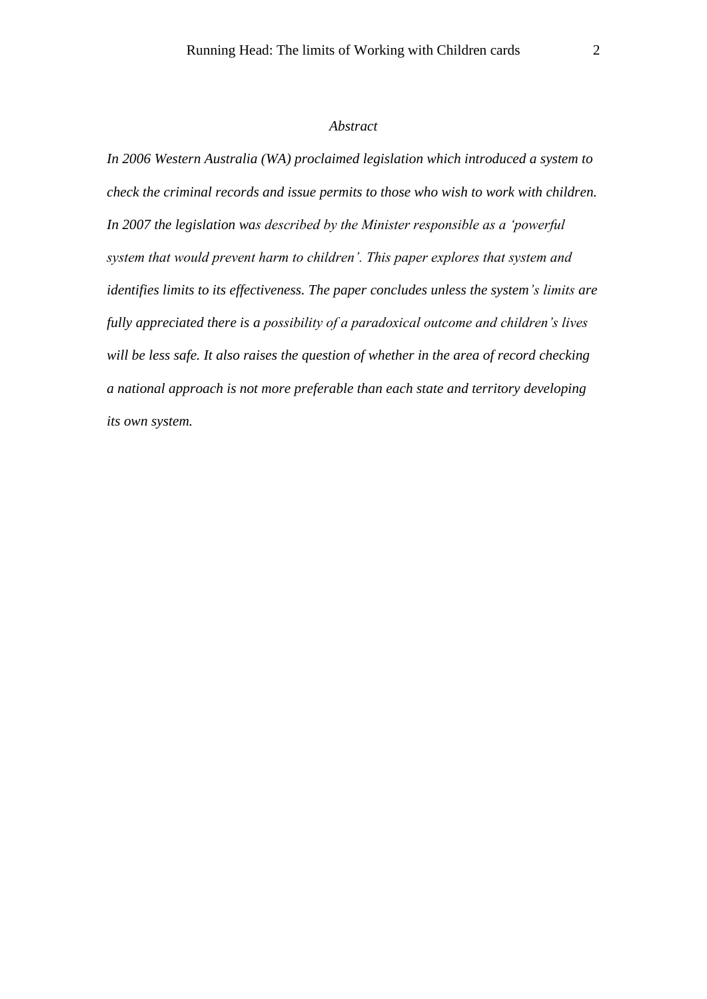### *Abstract*

*In 2006 Western Australia (WA) proclaimed legislation which introduced a system to check the criminal records and issue permits to those who wish to work with children. In 2007 the legislation was described by the Minister responsible as a 'powerful system that would prevent harm to children'. This paper explores that system and identifies limits to its effectiveness. The paper concludes unless the system's limits are fully appreciated there is a possibility of a paradoxical outcome and children's lives will be less safe. It also raises the question of whether in the area of record checking a national approach is not more preferable than each state and territory developing its own system.*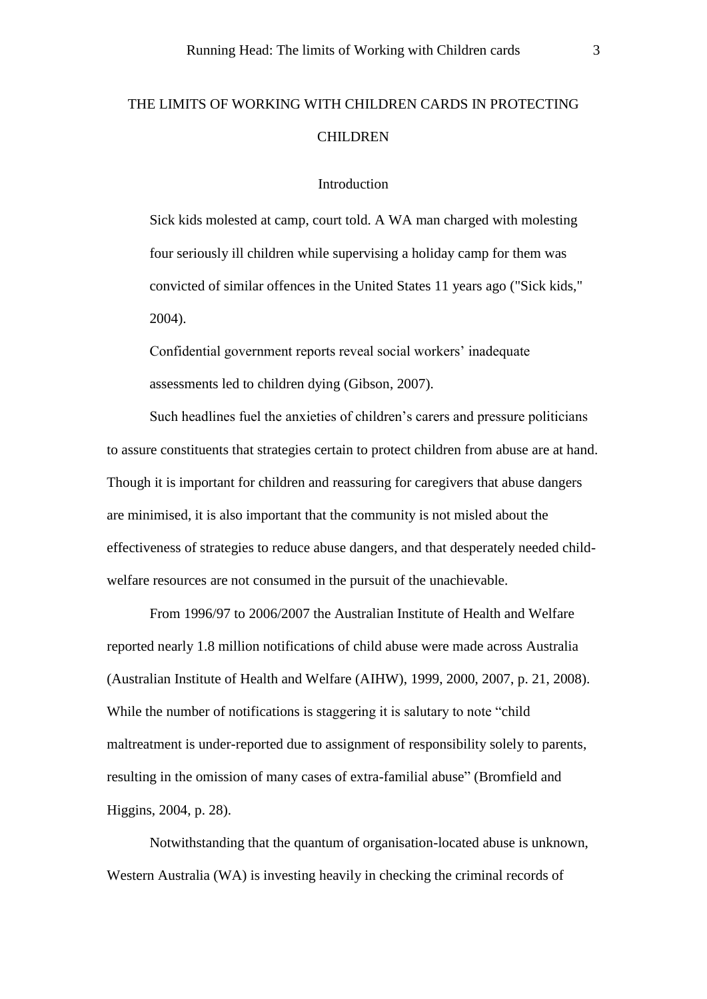## THE LIMITS OF WORKING WITH CHILDREN CARDS IN PROTECTING **CHILDREN**

#### Introduction

Sick kids molested at camp, court told. A WA man charged with molesting four seriously ill children while supervising a holiday camp for them was convicted of similar offences in the United States 11 years ago ("Sick kids," 2004).

Confidential government reports reveal social workers' inadequate assessments led to children dying (Gibson, 2007).

Such headlines fuel the anxieties of children"s carers and pressure politicians to assure constituents that strategies certain to protect children from abuse are at hand. Though it is important for children and reassuring for caregivers that abuse dangers are minimised, it is also important that the community is not misled about the effectiveness of strategies to reduce abuse dangers, and that desperately needed childwelfare resources are not consumed in the pursuit of the unachievable.

From 1996/97 to 2006/2007 the Australian Institute of Health and Welfare reported nearly 1.8 million notifications of child abuse were made across Australia (Australian Institute of Health and Welfare (AIHW), 1999, 2000, 2007, p. 21, 2008). While the number of notifications is staggering it is salutary to note "child maltreatment is under-reported due to assignment of responsibility solely to parents, resulting in the omission of many cases of extra-familial abuse" (Bromfield and Higgins, 2004, p. 28).

Notwithstanding that the quantum of organisation-located abuse is unknown, Western Australia (WA) is investing heavily in checking the criminal records of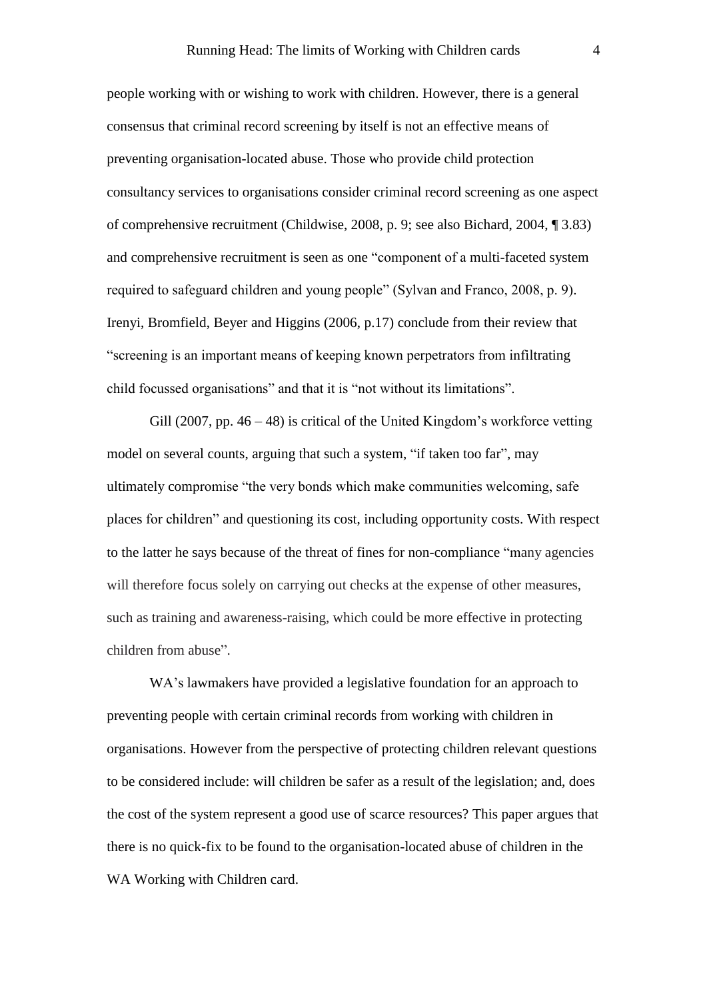people working with or wishing to work with children. However, there is a general consensus that criminal record screening by itself is not an effective means of preventing organisation-located abuse. Those who provide child protection consultancy services to organisations consider criminal record screening as one aspect of comprehensive recruitment (Childwise, 2008, p. 9; see also Bichard, 2004, ¶ 3.83) and comprehensive recruitment is seen as one "component of a multi-faceted system required to safeguard children and young people" (Sylvan and Franco, 2008, p. 9). Irenyi, Bromfield, Beyer and Higgins (2006, p.17) conclude from their review that "screening is an important means of keeping known perpetrators from infiltrating child focussed organisations" and that it is "not without its limitations".

Gill (2007, pp.  $46 - 48$ ) is critical of the United Kingdom's workforce vetting model on several counts, arguing that such a system, "if taken too far", may ultimately compromise "the very bonds which make communities welcoming, safe places for children" and questioning its cost, including opportunity costs. With respect to the latter he says because of the threat of fines for non-compliance "many agencies will therefore focus solely on carrying out checks at the expense of other measures, such as training and awareness-raising, which could be more effective in protecting children from abuse".

WA's lawmakers have provided a legislative foundation for an approach to preventing people with certain criminal records from working with children in organisations. However from the perspective of protecting children relevant questions to be considered include: will children be safer as a result of the legislation; and, does the cost of the system represent a good use of scarce resources? This paper argues that there is no quick-fix to be found to the organisation-located abuse of children in the WA Working with Children card.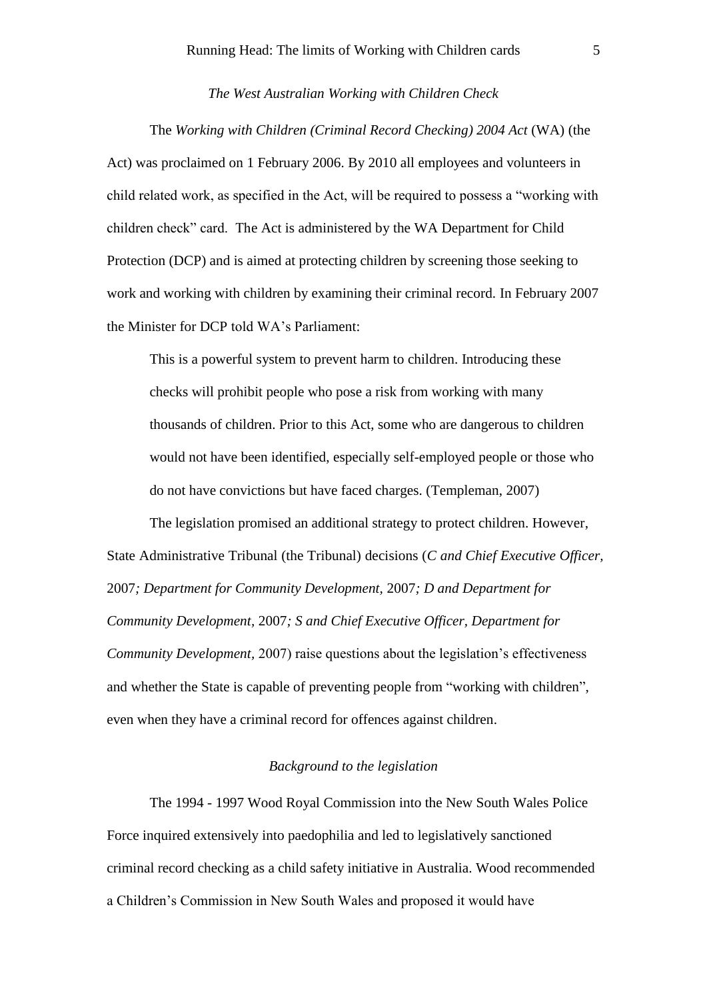#### *The West Australian Working with Children Check*

The *Working with Children (Criminal Record Checking) 2004 Act* (WA) (the Act) was proclaimed on 1 February 2006. By 2010 all employees and volunteers in child related work, as specified in the Act, will be required to possess a "working with children check" card. The Act is administered by the WA Department for Child Protection (DCP) and is aimed at protecting children by screening those seeking to work and working with children by examining their criminal record. In February 2007 the Minister for DCP told WA"s Parliament:

This is a powerful system to prevent harm to children. Introducing these checks will prohibit people who pose a risk from working with many thousands of children. Prior to this Act, some who are dangerous to children would not have been identified, especially self-employed people or those who do not have convictions but have faced charges. (Templeman, 2007)

The legislation promised an additional strategy to protect children. However, State Administrative Tribunal (the Tribunal) decisions (*C and Chief Executive Officer,* 2007*; Department for Community Development,* 2007*; D and Department for Community Development,* 2007*; S and Chief Executive Officer, Department for Community Development, 2007*) raise questions about the legislation's effectiveness and whether the State is capable of preventing people from "working with children", even when they have a criminal record for offences against children.

#### *Background to the legislation*

The 1994 - 1997 Wood Royal Commission into the New South Wales Police Force inquired extensively into paedophilia and led to legislatively sanctioned criminal record checking as a child safety initiative in Australia. Wood recommended a Children"s Commission in New South Wales and proposed it would have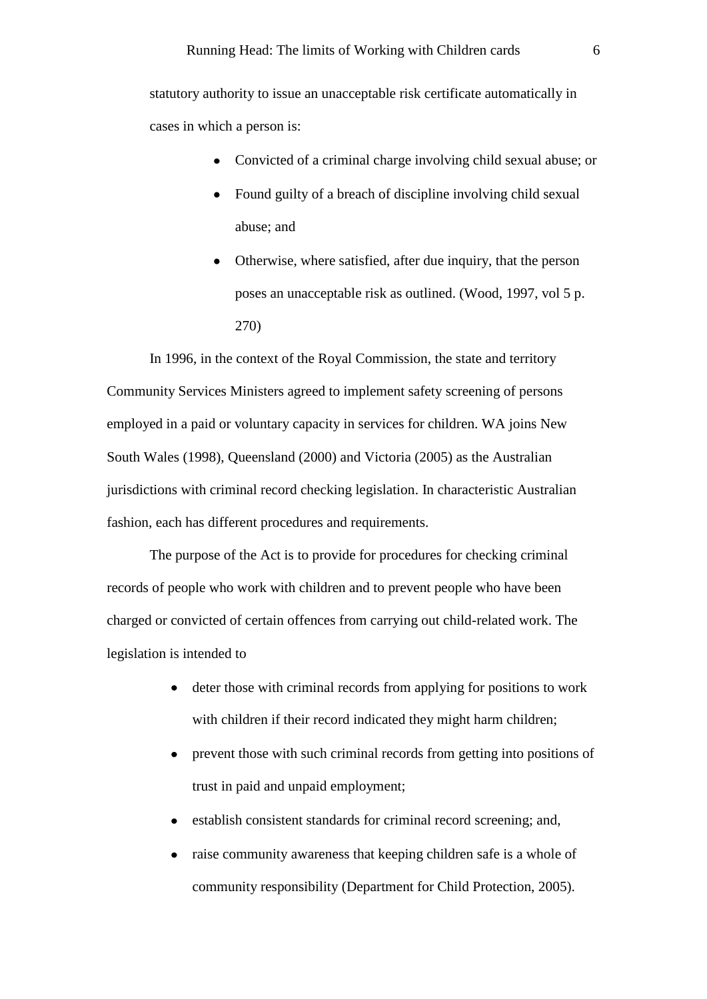statutory authority to issue an unacceptable risk certificate automatically in cases in which a person is:

- Convicted of a criminal charge involving child sexual abuse; or
- Found guilty of a breach of discipline involving child sexual abuse; and
- Otherwise, where satisfied, after due inquiry, that the person  $\bullet$ poses an unacceptable risk as outlined. (Wood, 1997, vol 5 p. 270)

In 1996, in the context of the Royal Commission, the state and territory Community Services Ministers agreed to implement safety screening of persons employed in a paid or voluntary capacity in services for children. WA joins New South Wales (1998), Queensland (2000) and Victoria (2005) as the Australian jurisdictions with criminal record checking legislation. In characteristic Australian fashion, each has different procedures and requirements.

The purpose of the Act is to provide for procedures for checking criminal records of people who work with children and to prevent people who have been charged or convicted of certain offences from carrying out child-related work. The legislation is intended to

- deter those with criminal records from applying for positions to work  $\bullet$ with children if their record indicated they might harm children;
- prevent those with such criminal records from getting into positions of  $\bullet$ trust in paid and unpaid employment;
- establish consistent standards for criminal record screening; and,
- raise community awareness that keeping children safe is a whole of community responsibility (Department for Child Protection, 2005).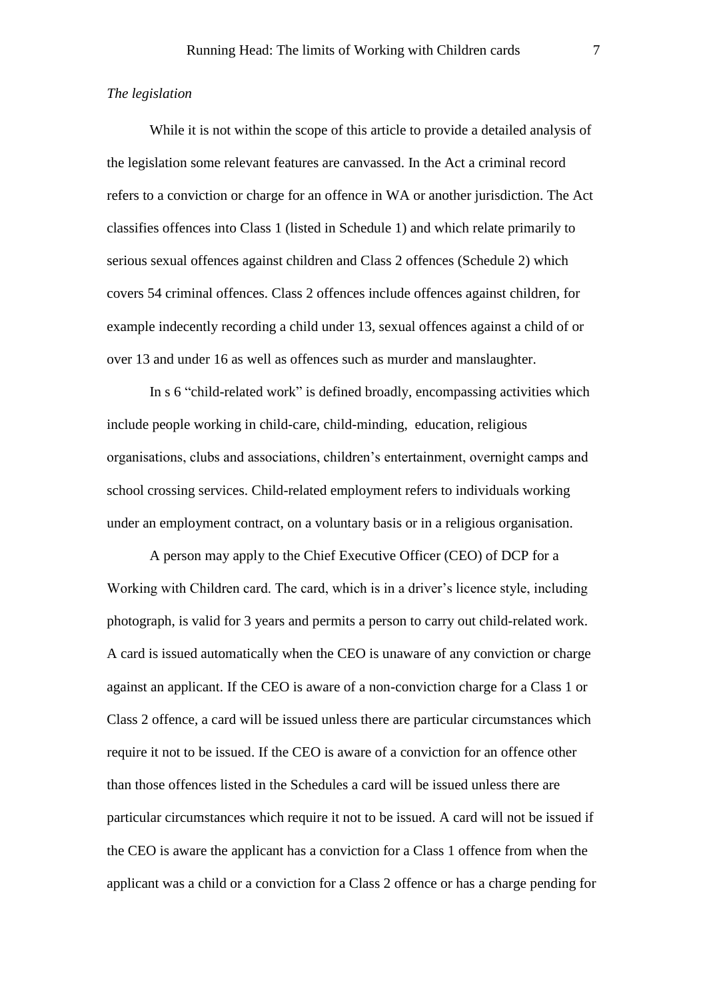#### *The legislation*

While it is not within the scope of this article to provide a detailed analysis of the legislation some relevant features are canvassed. In the Act a criminal record refers to a conviction or charge for an offence in WA or another jurisdiction. The Act classifies offences into Class 1 (listed in Schedule 1) and which relate primarily to serious sexual offences against children and Class 2 offences (Schedule 2) which covers 54 criminal offences. Class 2 offences include offences against children, for example indecently recording a child under 13, sexual offences against a child of or over 13 and under 16 as well as offences such as murder and manslaughter.

In s 6 "child-related work" is defined broadly, encompassing activities which include people working in child-care, child-minding, education, religious organisations, clubs and associations, children"s entertainment, overnight camps and school crossing services. Child-related employment refers to individuals working under an employment contract, on a voluntary basis or in a religious organisation.

A person may apply to the Chief Executive Officer (CEO) of DCP for a Working with Children card. The card, which is in a driver"s licence style, including photograph, is valid for 3 years and permits a person to carry out child-related work. A card is issued automatically when the CEO is unaware of any conviction or charge against an applicant. If the CEO is aware of a non-conviction charge for a Class 1 or Class 2 offence, a card will be issued unless there are particular circumstances which require it not to be issued. If the CEO is aware of a conviction for an offence other than those offences listed in the Schedules a card will be issued unless there are particular circumstances which require it not to be issued. A card will not be issued if the CEO is aware the applicant has a conviction for a Class 1 offence from when the applicant was a child or a conviction for a Class 2 offence or has a charge pending for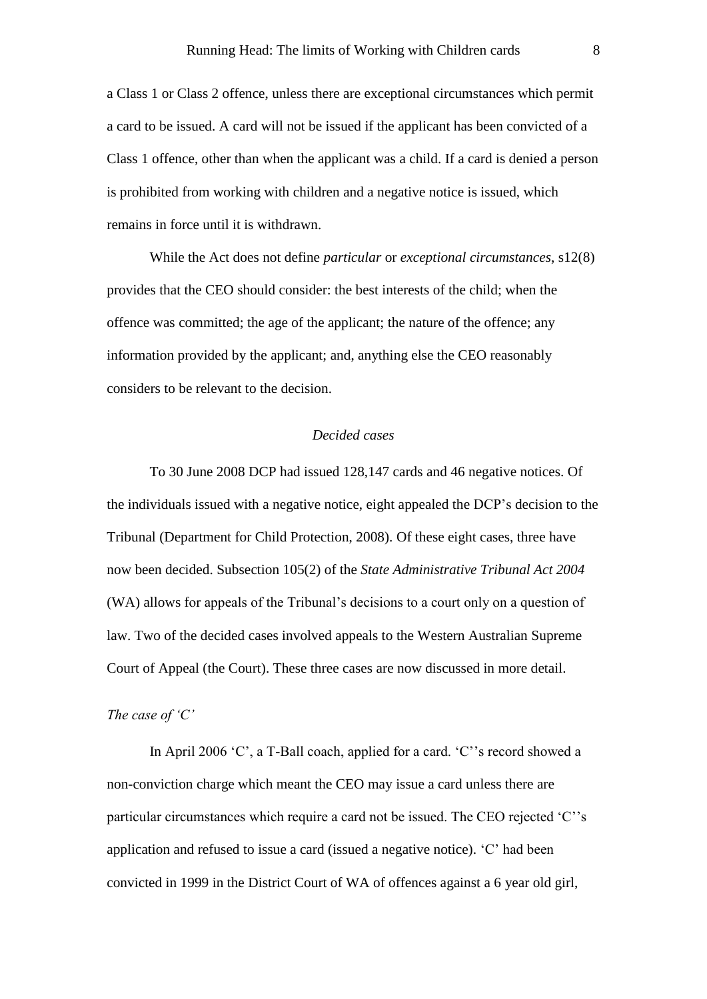a Class 1 or Class 2 offence, unless there are exceptional circumstances which permit a card to be issued. A card will not be issued if the applicant has been convicted of a Class 1 offence, other than when the applicant was a child. If a card is denied a person is prohibited from working with children and a negative notice is issued, which remains in force until it is withdrawn.

While the Act does not define *particular* or *exceptional circumstances*, s12(8) provides that the CEO should consider: the best interests of the child; when the offence was committed; the age of the applicant; the nature of the offence; any information provided by the applicant; and, anything else the CEO reasonably considers to be relevant to the decision.

## *Decided cases*

To 30 June 2008 DCP had issued 128,147 cards and 46 negative notices. Of the individuals issued with a negative notice, eight appealed the DCP"s decision to the Tribunal (Department for Child Protection, 2008). Of these eight cases, three have now been decided. Subsection 105(2) of the *State Administrative Tribunal Act 2004*  (WA) allows for appeals of the Tribunal"s decisions to a court only on a question of law. Two of the decided cases involved appeals to the Western Australian Supreme Court of Appeal (the Court). These three cases are now discussed in more detail.

## *The case of 'C'*

In April 2006 'C', a T-Ball coach, applied for a card. 'C''s record showed a non-conviction charge which meant the CEO may issue a card unless there are particular circumstances which require a card not be issued. The CEO rejected "C""s application and refused to issue a card (issued a negative notice). "C" had been convicted in 1999 in the District Court of WA of offences against a 6 year old girl,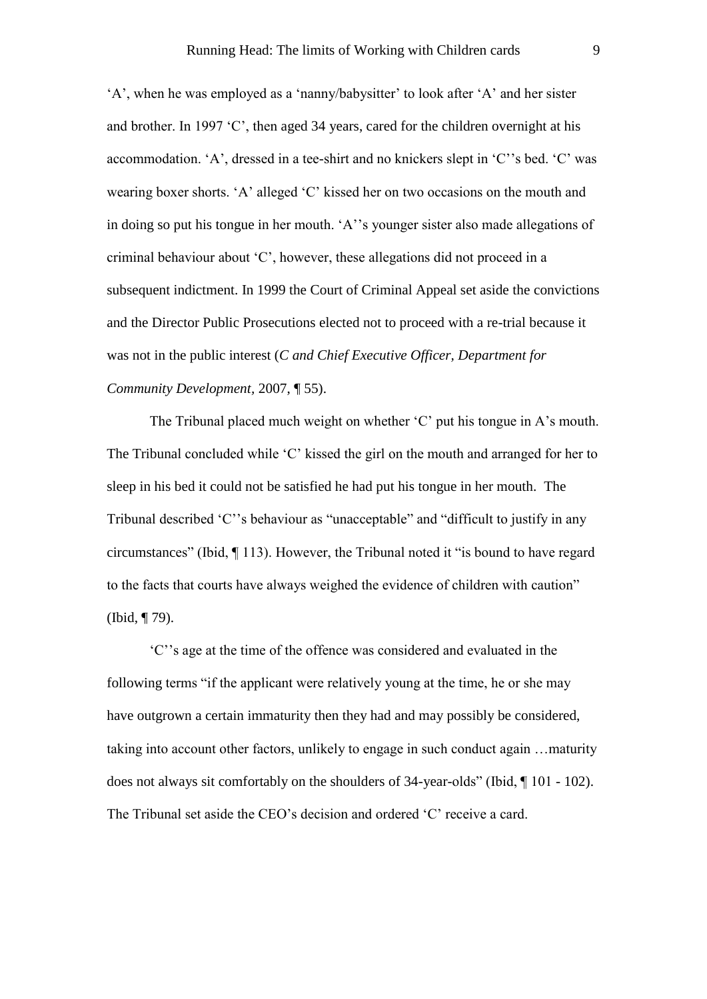"A", when he was employed as a "nanny/babysitter" to look after "A" and her sister and brother. In 1997 "C", then aged 34 years, cared for the children overnight at his accommodation. "A", dressed in a tee-shirt and no knickers slept in "C""s bed. "C" was wearing boxer shorts. "A" alleged "C" kissed her on two occasions on the mouth and in doing so put his tongue in her mouth. "A""s younger sister also made allegations of criminal behaviour about "C", however, these allegations did not proceed in a subsequent indictment. In 1999 the Court of Criminal Appeal set aside the convictions and the Director Public Prosecutions elected not to proceed with a re-trial because it was not in the public interest (*C and Chief Executive Officer, Department for Community Development,* 2007, ¶ 55).

The Tribunal placed much weight on whether 'C' put his tongue in A's mouth. The Tribunal concluded while "C" kissed the girl on the mouth and arranged for her to sleep in his bed it could not be satisfied he had put his tongue in her mouth. The Tribunal described "C""s behaviour as "unacceptable" and "difficult to justify in any circumstances" (Ibid, ¶ 113). However, the Tribunal noted it "is bound to have regard to the facts that courts have always weighed the evidence of children with caution" (Ibid, ¶ 79).

"C""s age at the time of the offence was considered and evaluated in the following terms "if the applicant were relatively young at the time, he or she may have outgrown a certain immaturity then they had and may possibly be considered, taking into account other factors, unlikely to engage in such conduct again …maturity does not always sit comfortably on the shoulders of 34-year-olds" (Ibid, ¶ 101 - 102). The Tribunal set aside the CEO's decision and ordered 'C' receive a card.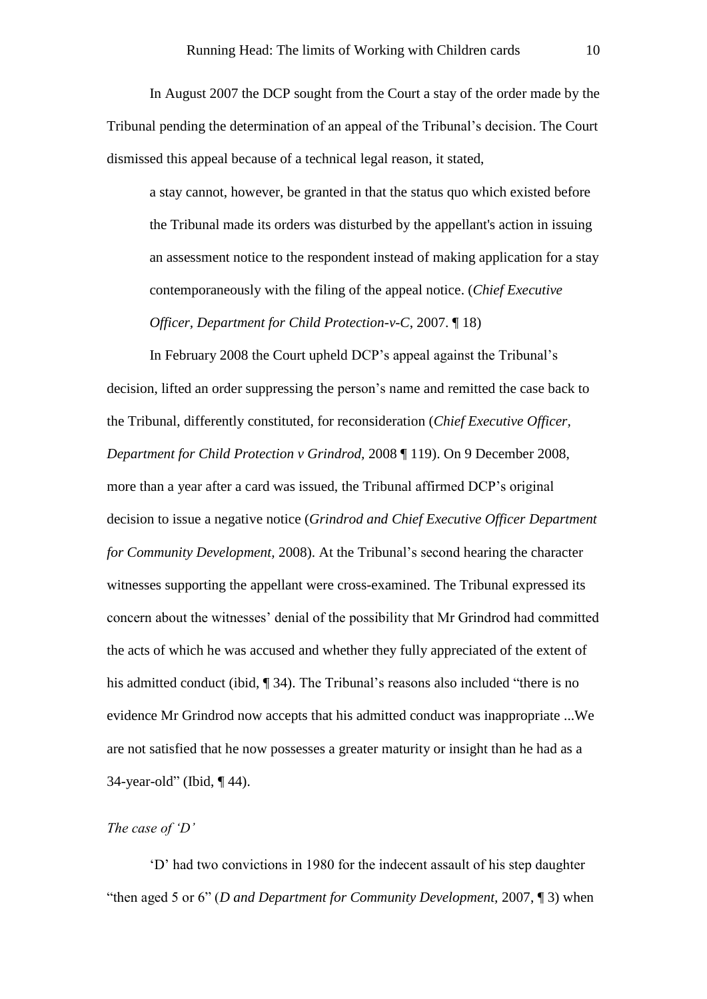In August 2007 the DCP sought from the Court a stay of the order made by the Tribunal pending the determination of an appeal of the Tribunal"s decision. The Court dismissed this appeal because of a technical legal reason, it stated,

a stay cannot, however, be granted in that the status quo which existed before the Tribunal made its orders was disturbed by the appellant's action in issuing an assessment notice to the respondent instead of making application for a stay contemporaneously with the filing of the appeal notice. (*Chief Executive Officer, Department for Child Protection-v-C*, 2007. ¶ 18)

In February 2008 the Court upheld DCP"s appeal against the Tribunal"s decision, lifted an order suppressing the person"s name and remitted the case back to the Tribunal, differently constituted, for reconsideration (*Chief Executive Officer, Department for Child Protection v Grindrod,* 2008 ¶ 119). On 9 December 2008, more than a year after a card was issued, the Tribunal affirmed DCP"s original decision to issue a negative notice (*Grindrod and Chief Executive Officer Department for Community Development, 2008).* At the Tribunal's second hearing the character witnesses supporting the appellant were cross-examined. The Tribunal expressed its concern about the witnesses" denial of the possibility that Mr Grindrod had committed the acts of which he was accused and whether they fully appreciated of the extent of his admitted conduct (ibid,  $\P$  34). The Tribunal's reasons also included "there is no evidence Mr Grindrod now accepts that his admitted conduct was inappropriate ...We are not satisfied that he now possesses a greater maturity or insight than he had as a 34-year-old" (Ibid, ¶ 44).

## *The case of 'D'*

"D" had two convictions in 1980 for the indecent assault of his step daughter "then aged 5 or 6" (*D and Department for Community Development,* 2007, ¶ 3) when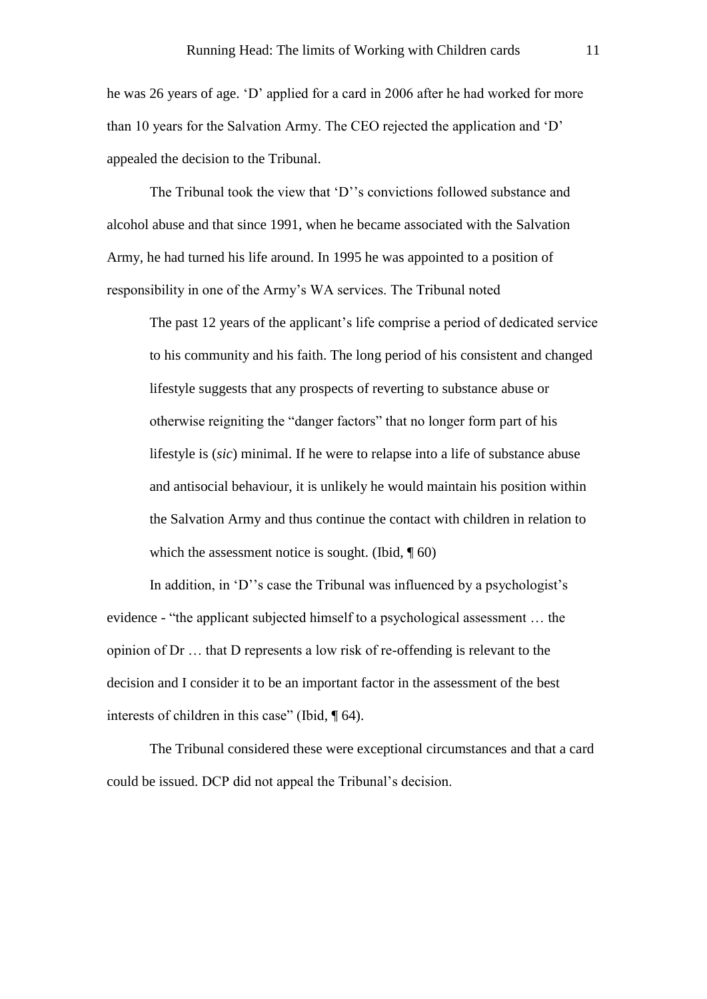he was 26 years of age. "D" applied for a card in 2006 after he had worked for more than 10 years for the Salvation Army. The CEO rejected the application and "D" appealed the decision to the Tribunal.

The Tribunal took the view that "D""s convictions followed substance and alcohol abuse and that since 1991, when he became associated with the Salvation Army, he had turned his life around. In 1995 he was appointed to a position of responsibility in one of the Army"s WA services. The Tribunal noted

The past 12 years of the applicant"s life comprise a period of dedicated service to his community and his faith. The long period of his consistent and changed lifestyle suggests that any prospects of reverting to substance abuse or otherwise reigniting the "danger factors" that no longer form part of his lifestyle is (*sic*) minimal. If he were to relapse into a life of substance abuse and antisocial behaviour, it is unlikely he would maintain his position within the Salvation Army and thus continue the contact with children in relation to which the assessment notice is sought. (Ibid,  $\P$  60)

In addition, in 'D''s case the Tribunal was influenced by a psychologist's evidence - "the applicant subjected himself to a psychological assessment … the opinion of Dr … that D represents a low risk of re-offending is relevant to the decision and I consider it to be an important factor in the assessment of the best interests of children in this case" (Ibid, ¶ 64).

The Tribunal considered these were exceptional circumstances and that a card could be issued. DCP did not appeal the Tribunal"s decision.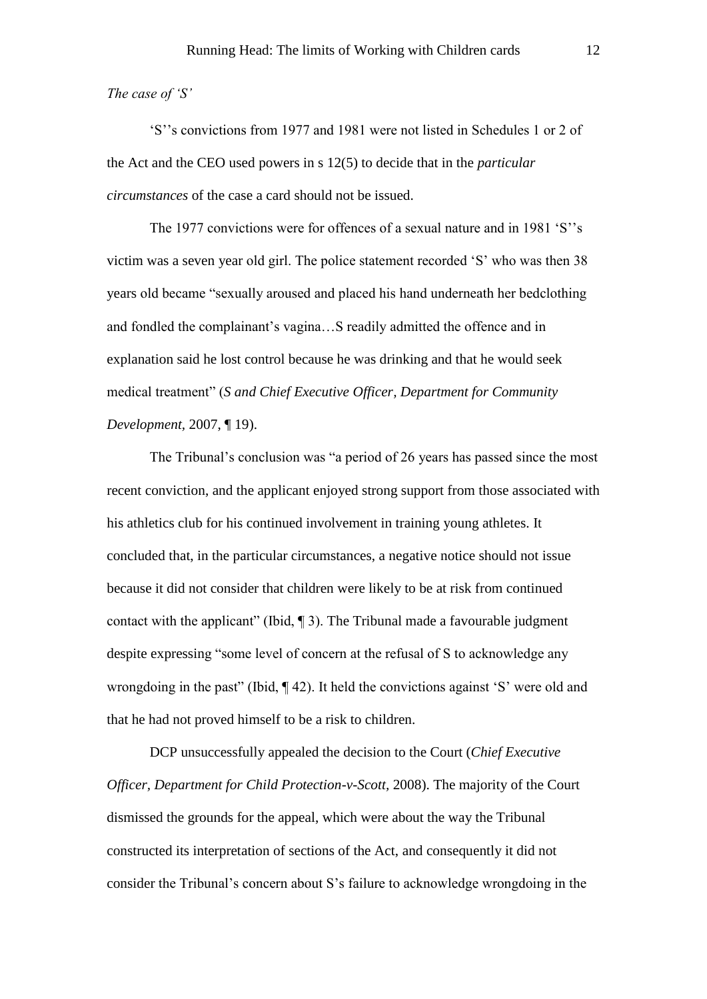## *The case of 'S'*

"S""s convictions from 1977 and 1981 were not listed in Schedules 1 or 2 of the Act and the CEO used powers in s 12(5) to decide that in the *particular circumstances* of the case a card should not be issued.

The 1977 convictions were for offences of a sexual nature and in 1981 'S''s victim was a seven year old girl. The police statement recorded "S" who was then 38 years old became "sexually aroused and placed his hand underneath her bedclothing and fondled the complainant's vagina...S readily admitted the offence and in explanation said he lost control because he was drinking and that he would seek medical treatment" (*S and Chief Executive Officer, Department for Community Development,* 2007, ¶ 19).

The Tribunal's conclusion was "a period of 26 years has passed since the most recent conviction, and the applicant enjoyed strong support from those associated with his athletics club for his continued involvement in training young athletes. It concluded that, in the particular circumstances, a negative notice should not issue because it did not consider that children were likely to be at risk from continued contact with the applicant" (Ibid,  $\P$  3). The Tribunal made a favourable judgment despite expressing "some level of concern at the refusal of S to acknowledge any wrongdoing in the past" (Ibid, ¶ 42). It held the convictions against "S" were old and that he had not proved himself to be a risk to children.

DCP unsuccessfully appealed the decision to the Court (*Chief Executive Officer, Department for Child Protection-v-Scott,* 2008). The majority of the Court dismissed the grounds for the appeal, which were about the way the Tribunal constructed its interpretation of sections of the Act, and consequently it did not consider the Tribunal"s concern about S"s failure to acknowledge wrongdoing in the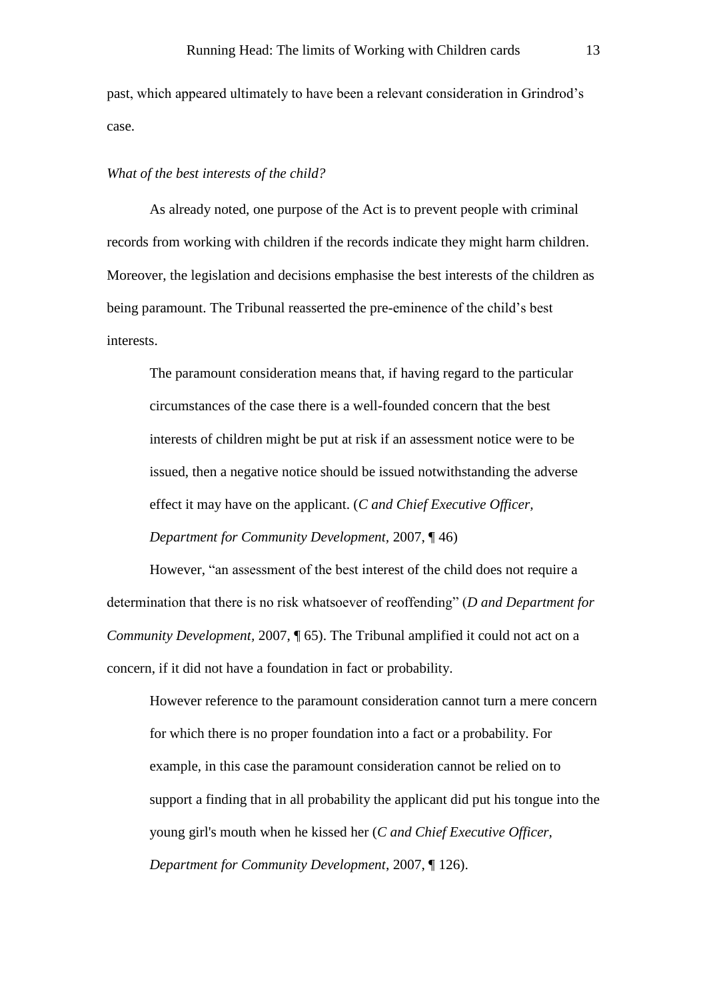past, which appeared ultimately to have been a relevant consideration in Grindrod"s case.

#### *What of the best interests of the child?*

As already noted, one purpose of the Act is to prevent people with criminal records from working with children if the records indicate they might harm children. Moreover, the legislation and decisions emphasise the best interests of the children as being paramount. The Tribunal reasserted the pre-eminence of the child"s best interests.

The paramount consideration means that, if having regard to the particular circumstances of the case there is a well-founded concern that the best interests of children might be put at risk if an assessment notice were to be issued, then a negative notice should be issued notwithstanding the adverse effect it may have on the applicant. (*C and Chief Executive Officer, Department for Community Development,* 2007, ¶ 46)

However, "an assessment of the best interest of the child does not require a determination that there is no risk whatsoever of reoffending" (*D and Department for Community Development,* 2007, ¶ 65). The Tribunal amplified it could not act on a concern, if it did not have a foundation in fact or probability.

However reference to the paramount consideration cannot turn a mere concern for which there is no proper foundation into a fact or a probability. For example, in this case the paramount consideration cannot be relied on to support a finding that in all probability the applicant did put his tongue into the young girl's mouth when he kissed her (*C and Chief Executive Officer, Department for Community Development*, 2007, ¶ 126).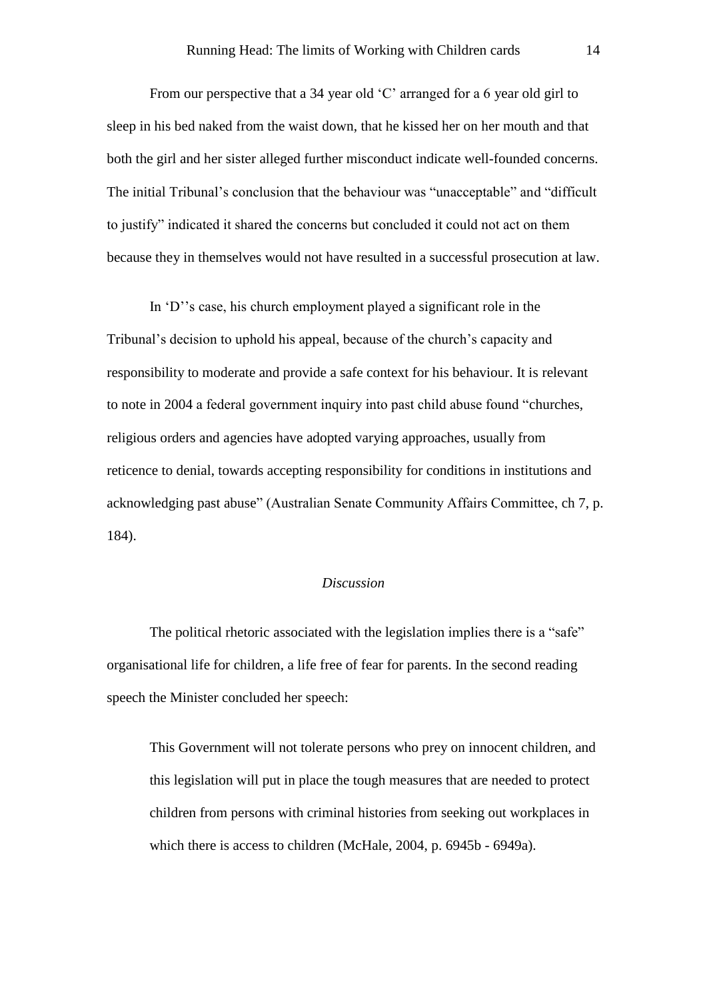From our perspective that a 34 year old 'C' arranged for a 6 year old girl to sleep in his bed naked from the waist down, that he kissed her on her mouth and that both the girl and her sister alleged further misconduct indicate well-founded concerns. The initial Tribunal"s conclusion that the behaviour was "unacceptable" and "difficult to justify" indicated it shared the concerns but concluded it could not act on them because they in themselves would not have resulted in a successful prosecution at law.

In 'D''s case, his church employment played a significant role in the Tribunal"s decision to uphold his appeal, because of the church"s capacity and responsibility to moderate and provide a safe context for his behaviour. It is relevant to note in 2004 a federal government inquiry into past child abuse found "churches, religious orders and agencies have adopted varying approaches, usually from reticence to denial, towards accepting responsibility for conditions in institutions and acknowledging past abuse" (Australian Senate Community Affairs Committee, ch 7, p. 184).

### *Discussion*

The political rhetoric associated with the legislation implies there is a "safe" organisational life for children, a life free of fear for parents. In the second reading speech the Minister concluded her speech:

This Government will not tolerate persons who prey on innocent children, and this legislation will put in place the tough measures that are needed to protect children from persons with criminal histories from seeking out workplaces in which there is access to children (McHale, 2004, p. 6945b - 6949a).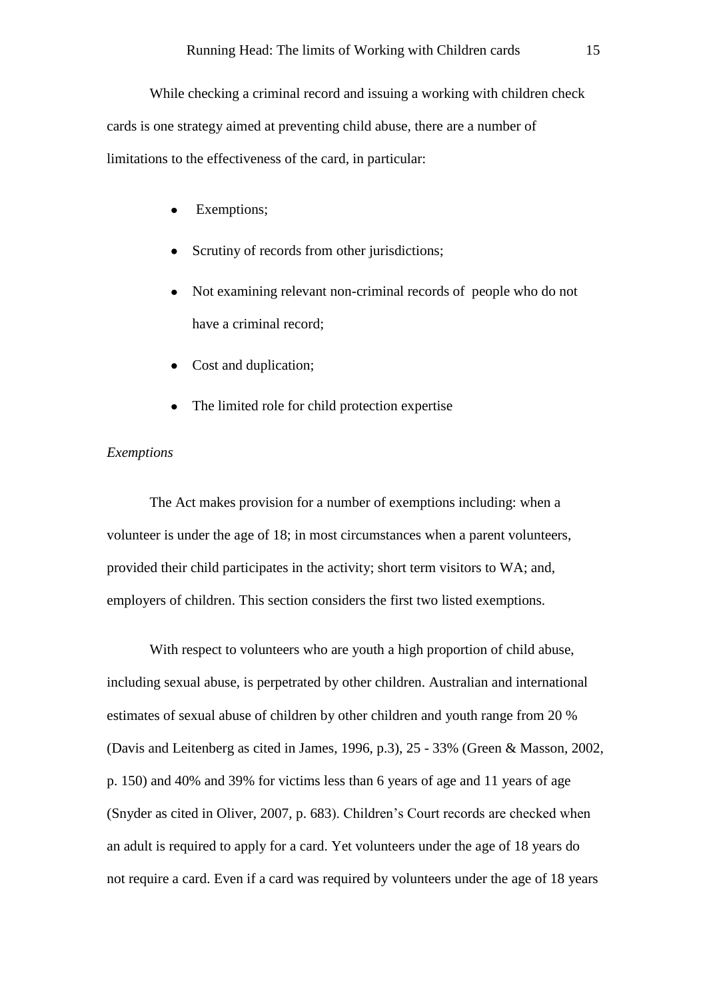While checking a criminal record and issuing a working with children check cards is one strategy aimed at preventing child abuse, there are a number of limitations to the effectiveness of the card, in particular:

- Exemptions;  $\bullet$
- Scrutiny of records from other jurisdictions;  $\bullet$
- Not examining relevant non-criminal records of people who do not have a criminal record;
- Cost and duplication;
- The limited role for child protection expertise  $\bullet$

## *Exemptions*

The Act makes provision for a number of exemptions including: when a volunteer is under the age of 18; in most circumstances when a parent volunteers, provided their child participates in the activity; short term visitors to WA; and, employers of children. This section considers the first two listed exemptions.

With respect to volunteers who are youth a high proportion of child abuse, including sexual abuse, is perpetrated by other children. Australian and international estimates of sexual abuse of children by other children and youth range from 20 % (Davis and Leitenberg as cited in James, 1996, p.3), 25 - 33% (Green & Masson, 2002, p. 150) and 40% and 39% for victims less than 6 years of age and 11 years of age (Snyder as cited in Oliver, 2007, p. 683). Children"s Court records are checked when an adult is required to apply for a card. Yet volunteers under the age of 18 years do not require a card. Even if a card was required by volunteers under the age of 18 years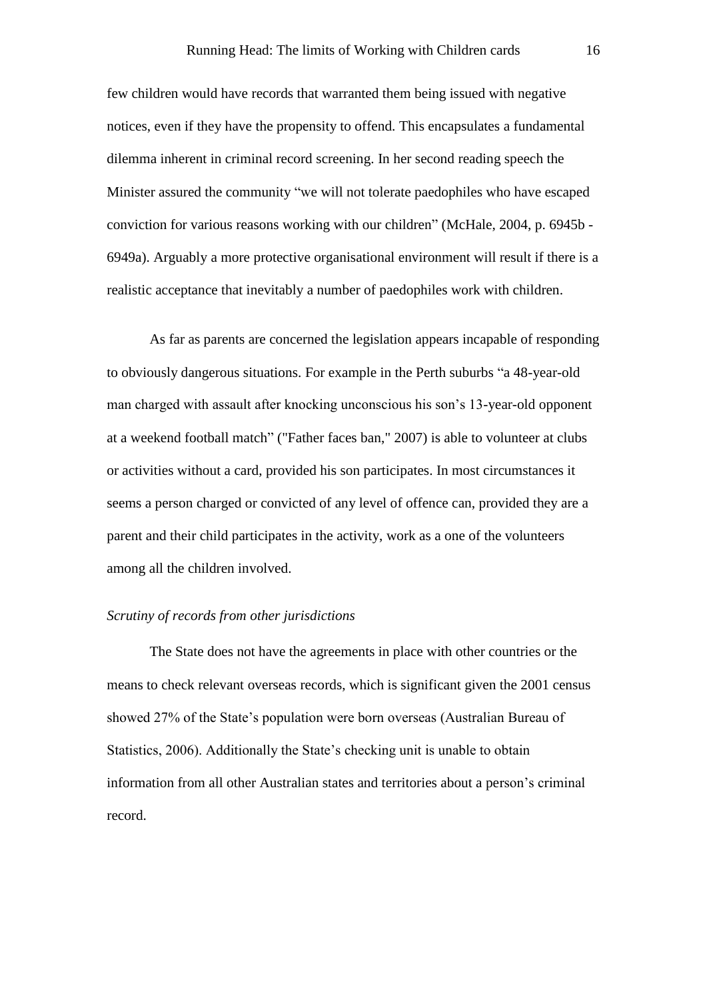few children would have records that warranted them being issued with negative notices, even if they have the propensity to offend. This encapsulates a fundamental dilemma inherent in criminal record screening. In her second reading speech the Minister assured the community "we will not tolerate paedophiles who have escaped conviction for various reasons working with our children" (McHale, 2004, p. 6945b - 6949a). Arguably a more protective organisational environment will result if there is a realistic acceptance that inevitably a number of paedophiles work with children.

As far as parents are concerned the legislation appears incapable of responding to obviously dangerous situations. For example in the Perth suburbs "a 48-year-old man charged with assault after knocking unconscious his son"s 13-year-old opponent at a weekend football match" ("Father faces ban," 2007) is able to volunteer at clubs or activities without a card, provided his son participates. In most circumstances it seems a person charged or convicted of any level of offence can, provided they are a parent and their child participates in the activity, work as a one of the volunteers among all the children involved.

## *Scrutiny of records from other jurisdictions*

The State does not have the agreements in place with other countries or the means to check relevant overseas records, which is significant given the 2001 census showed 27% of the State's population were born overseas (Australian Bureau of Statistics, 2006). Additionally the State's checking unit is unable to obtain information from all other Australian states and territories about a person"s criminal record.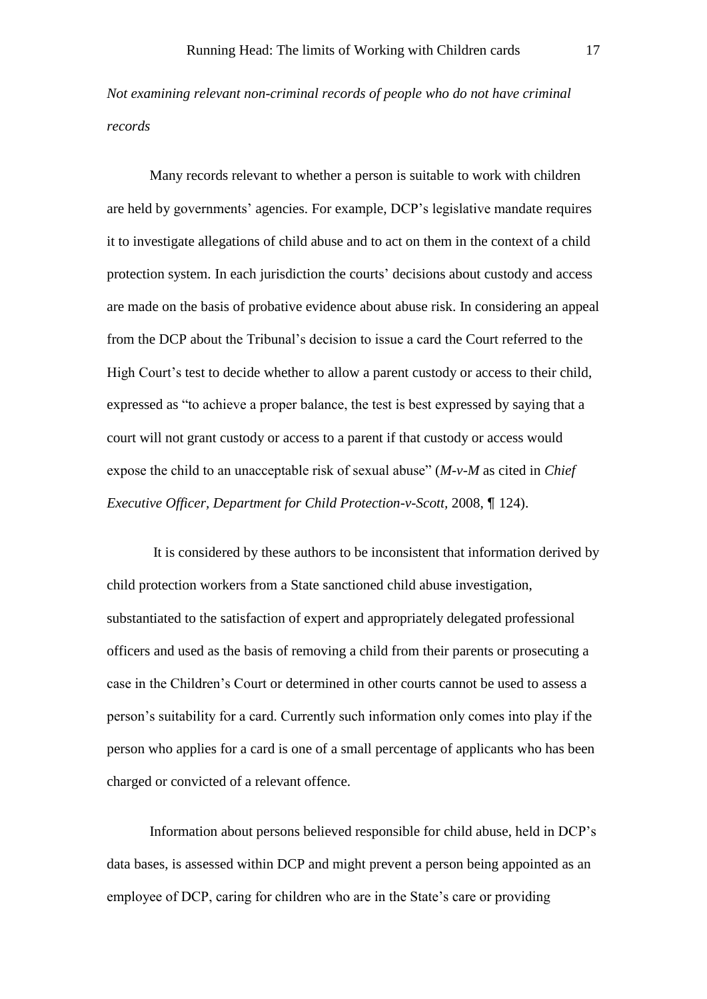*Not examining relevant non-criminal records of people who do not have criminal records*

Many records relevant to whether a person is suitable to work with children are held by governments' agencies. For example, DCP's legislative mandate requires it to investigate allegations of child abuse and to act on them in the context of a child protection system. In each jurisdiction the courts" decisions about custody and access are made on the basis of probative evidence about abuse risk. In considering an appeal from the DCP about the Tribunal"s decision to issue a card the Court referred to the High Court's test to decide whether to allow a parent custody or access to their child, expressed as "to achieve a proper balance, the test is best expressed by saying that a court will not grant custody or access to a parent if that custody or access would expose the child to an unacceptable risk of sexual abuse" (*M-v-M* as cited in *Chief Executive Officer, Department for Child Protection-v-Scott,* 2008, ¶ 124).

It is considered by these authors to be inconsistent that information derived by child protection workers from a State sanctioned child abuse investigation, substantiated to the satisfaction of expert and appropriately delegated professional officers and used as the basis of removing a child from their parents or prosecuting a case in the Children"s Court or determined in other courts cannot be used to assess a person"s suitability for a card. Currently such information only comes into play if the person who applies for a card is one of a small percentage of applicants who has been charged or convicted of a relevant offence.

Information about persons believed responsible for child abuse, held in DCP"s data bases, is assessed within DCP and might prevent a person being appointed as an employee of DCP, caring for children who are in the State's care or providing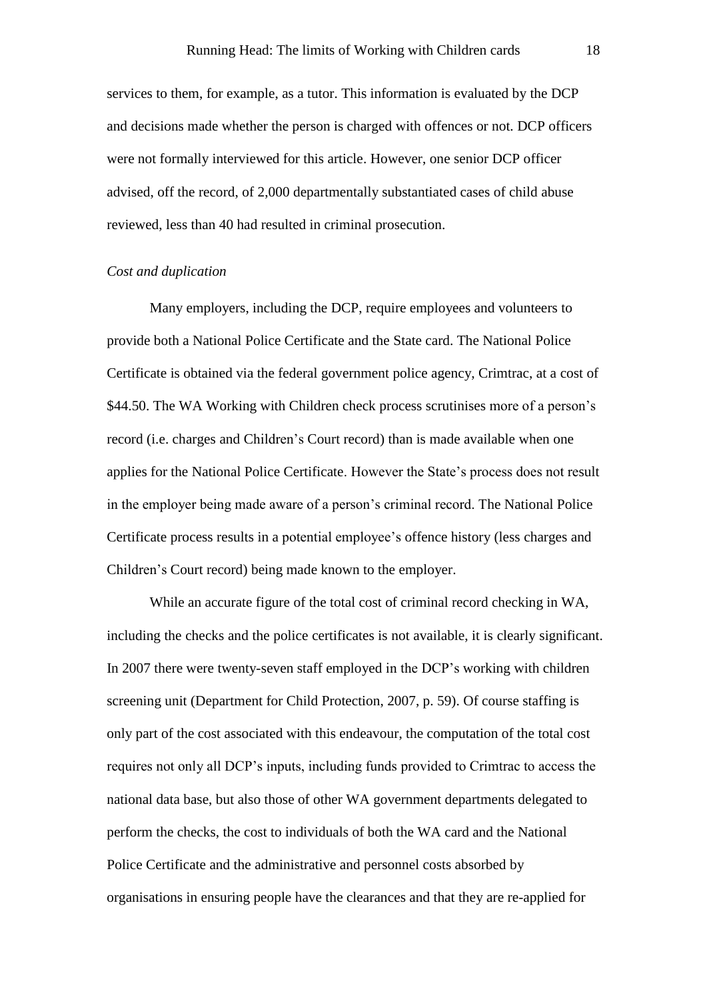services to them, for example, as a tutor. This information is evaluated by the DCP and decisions made whether the person is charged with offences or not. DCP officers were not formally interviewed for this article. However, one senior DCP officer advised, off the record, of 2,000 departmentally substantiated cases of child abuse reviewed, less than 40 had resulted in criminal prosecution.

## *Cost and duplication*

Many employers, including the DCP, require employees and volunteers to provide both a National Police Certificate and the State card. The National Police Certificate is obtained via the federal government police agency, Crimtrac, at a cost of \$44.50. The WA Working with Children check process scrutinises more of a person's record (i.e. charges and Children"s Court record) than is made available when one applies for the National Police Certificate. However the State"s process does not result in the employer being made aware of a person"s criminal record. The National Police Certificate process results in a potential employee's offence history (less charges and Children"s Court record) being made known to the employer.

While an accurate figure of the total cost of criminal record checking in WA, including the checks and the police certificates is not available, it is clearly significant. In 2007 there were twenty-seven staff employed in the DCP"s working with children screening unit (Department for Child Protection, 2007, p. 59). Of course staffing is only part of the cost associated with this endeavour, the computation of the total cost requires not only all DCP"s inputs, including funds provided to Crimtrac to access the national data base, but also those of other WA government departments delegated to perform the checks, the cost to individuals of both the WA card and the National Police Certificate and the administrative and personnel costs absorbed by organisations in ensuring people have the clearances and that they are re-applied for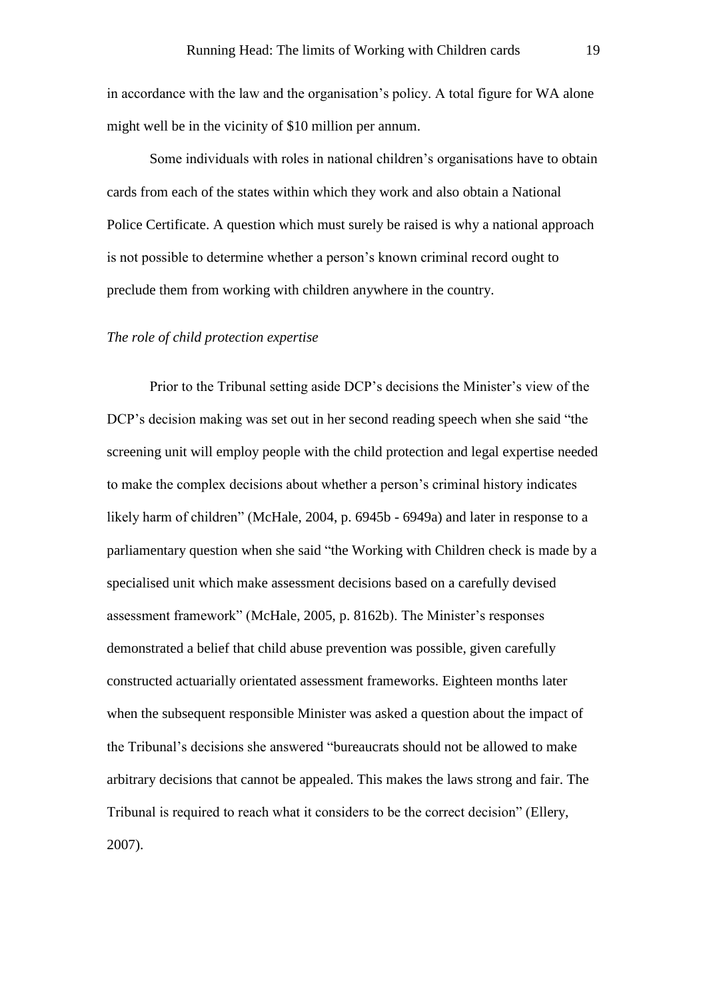in accordance with the law and the organisation"s policy. A total figure for WA alone might well be in the vicinity of \$10 million per annum.

Some individuals with roles in national children"s organisations have to obtain cards from each of the states within which they work and also obtain a National Police Certificate. A question which must surely be raised is why a national approach is not possible to determine whether a person"s known criminal record ought to preclude them from working with children anywhere in the country.

#### *The role of child protection expertise*

Prior to the Tribunal setting aside DCP's decisions the Minister's view of the DCP"s decision making was set out in her second reading speech when she said "the screening unit will employ people with the child protection and legal expertise needed to make the complex decisions about whether a person"s criminal history indicates likely harm of children" (McHale, 2004, p. 6945b - 6949a) and later in response to a parliamentary question when she said "the Working with Children check is made by a specialised unit which make assessment decisions based on a carefully devised assessment framework" (McHale, 2005, p. 8162b). The Minister"s responses demonstrated a belief that child abuse prevention was possible, given carefully constructed actuarially orientated assessment frameworks. Eighteen months later when the subsequent responsible Minister was asked a question about the impact of the Tribunal"s decisions she answered "bureaucrats should not be allowed to make arbitrary decisions that cannot be appealed. This makes the laws strong and fair. The Tribunal is required to reach what it considers to be the correct decision" (Ellery, 2007).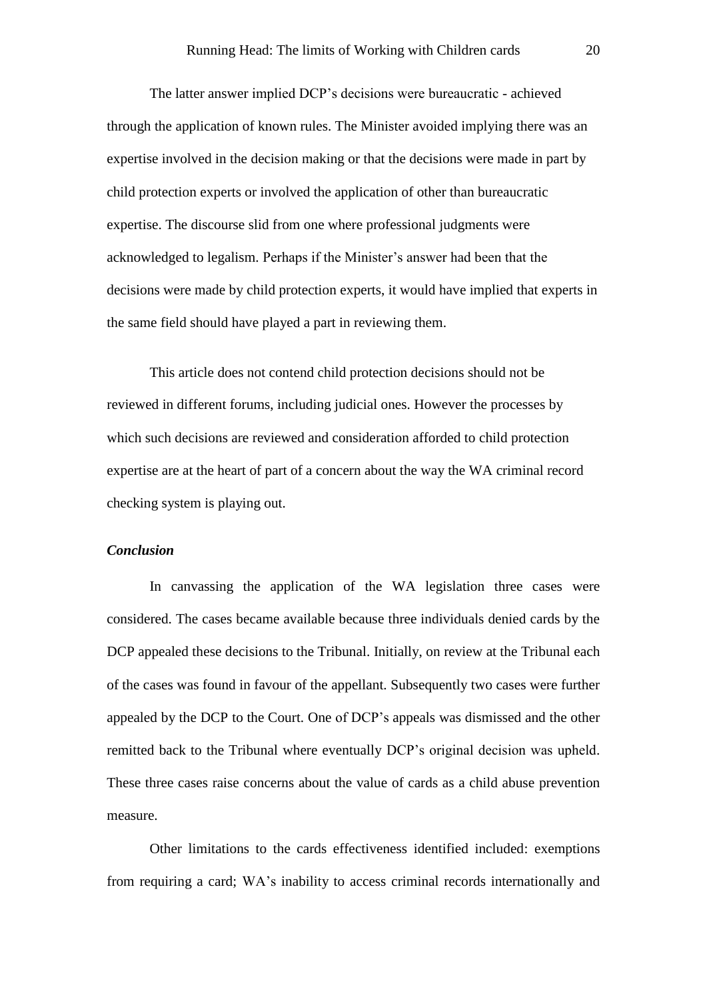The latter answer implied DCP"s decisions were bureaucratic - achieved through the application of known rules. The Minister avoided implying there was an expertise involved in the decision making or that the decisions were made in part by child protection experts or involved the application of other than bureaucratic expertise. The discourse slid from one where professional judgments were acknowledged to legalism. Perhaps if the Minister"s answer had been that the decisions were made by child protection experts, it would have implied that experts in the same field should have played a part in reviewing them.

This article does not contend child protection decisions should not be reviewed in different forums, including judicial ones. However the processes by which such decisions are reviewed and consideration afforded to child protection expertise are at the heart of part of a concern about the way the WA criminal record checking system is playing out.

#### *Conclusion*

In canvassing the application of the WA legislation three cases were considered. The cases became available because three individuals denied cards by the DCP appealed these decisions to the Tribunal. Initially, on review at the Tribunal each of the cases was found in favour of the appellant. Subsequently two cases were further appealed by the DCP to the Court. One of DCP"s appeals was dismissed and the other remitted back to the Tribunal where eventually DCP"s original decision was upheld. These three cases raise concerns about the value of cards as a child abuse prevention measure.

Other limitations to the cards effectiveness identified included: exemptions from requiring a card; WA"s inability to access criminal records internationally and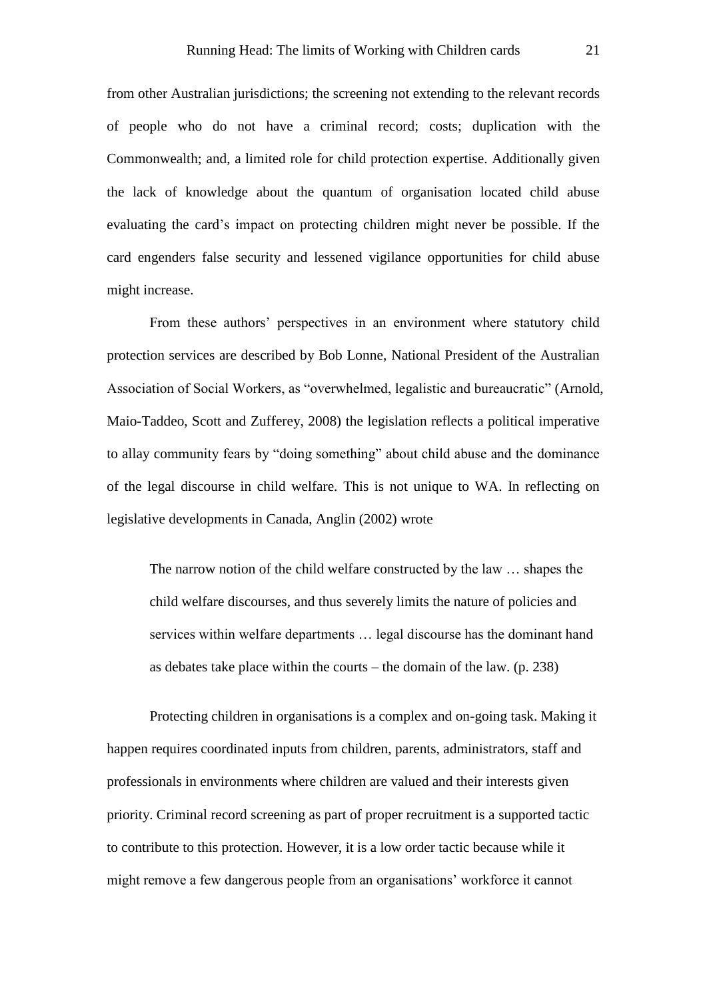from other Australian jurisdictions; the screening not extending to the relevant records of people who do not have a criminal record; costs; duplication with the Commonwealth; and, a limited role for child protection expertise. Additionally given the lack of knowledge about the quantum of organisation located child abuse evaluating the card"s impact on protecting children might never be possible. If the card engenders false security and lessened vigilance opportunities for child abuse might increase.

From these authors' perspectives in an environment where statutory child protection services are described by Bob Lonne, National President of the Australian Association of Social Workers, as "overwhelmed, legalistic and bureaucratic" (Arnold, Maio-Taddeo, Scott and Zufferey, 2008) the legislation reflects a political imperative to allay community fears by "doing something" about child abuse and the dominance of the legal discourse in child welfare. This is not unique to WA. In reflecting on legislative developments in Canada, Anglin (2002) wrote

The narrow notion of the child welfare constructed by the law … shapes the child welfare discourses, and thus severely limits the nature of policies and services within welfare departments … legal discourse has the dominant hand as debates take place within the courts – the domain of the law. (p. 238)

Protecting children in organisations is a complex and on-going task. Making it happen requires coordinated inputs from children, parents, administrators, staff and professionals in environments where children are valued and their interests given priority. Criminal record screening as part of proper recruitment is a supported tactic to contribute to this protection. However, it is a low order tactic because while it might remove a few dangerous people from an organisations" workforce it cannot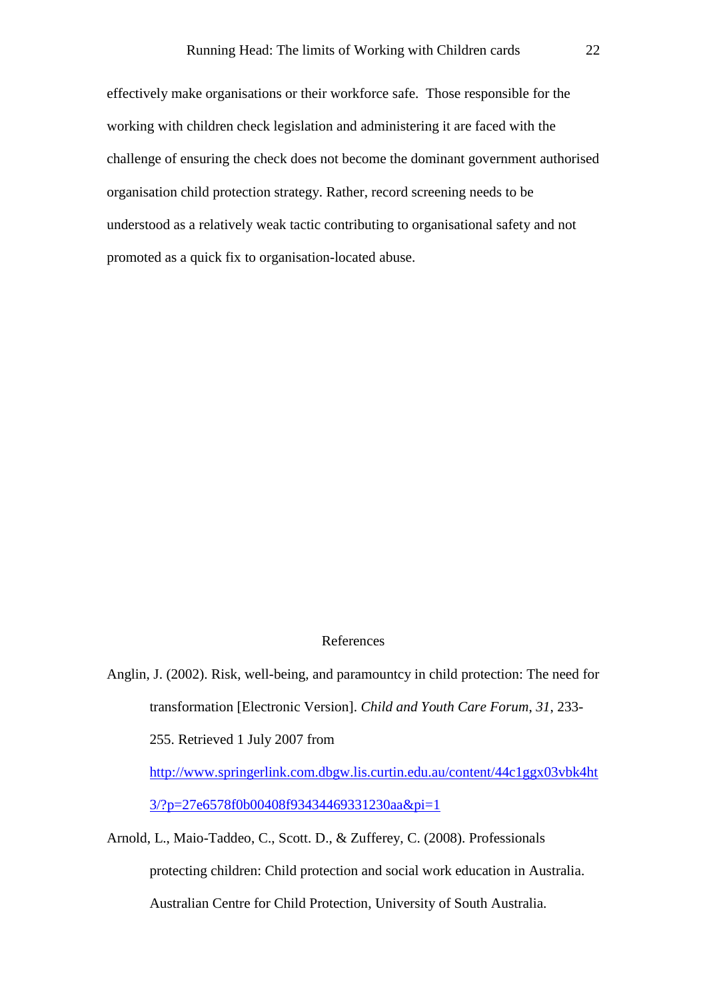effectively make organisations or their workforce safe. Those responsible for the working with children check legislation and administering it are faced with the challenge of ensuring the check does not become the dominant government authorised organisation child protection strategy. Rather, record screening needs to be understood as a relatively weak tactic contributing to organisational safety and not promoted as a quick fix to organisation-located abuse.

## References

Anglin, J. (2002). Risk, well-being, and paramountcy in child protection: The need for transformation [Electronic Version]. *Child and Youth Care Forum*, *31*, 233- 255. Retrieved 1 July 2007 from [http://www.springerlink.com.dbgw.lis.curtin.edu.au/content/44c1ggx03vbk4ht](http://www.springerlink.com.dbgw.lis.curtin.edu.au/content/44c1ggx03vbk4ht3/?p=27e6578f0b00408f93434469331230aa&pi=1)

[3/?p=27e6578f0b00408f93434469331230aa&pi=1](http://www.springerlink.com.dbgw.lis.curtin.edu.au/content/44c1ggx03vbk4ht3/?p=27e6578f0b00408f93434469331230aa&pi=1)

Arnold, L., Maio-Taddeo, C., Scott. D., & Zufferey, C. (2008). Professionals protecting children: Child protection and social work education in Australia. Australian Centre for Child Protection, University of South Australia.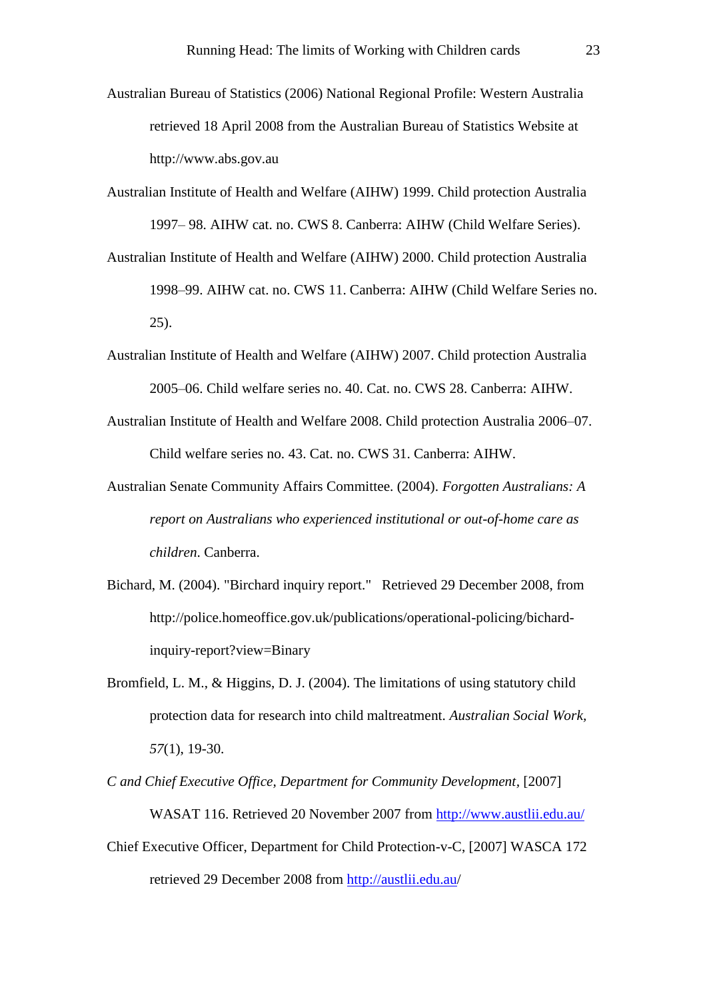- Australian Bureau of Statistics (2006) National Regional Profile: Western Australia retrieved 18 April 2008 from the Australian Bureau of Statistics Website at http://www.abs.gov.au
- Australian Institute of Health and Welfare (AIHW) 1999. Child protection Australia 1997– 98. AIHW cat. no. CWS 8. Canberra: AIHW (Child Welfare Series).
- Australian Institute of Health and Welfare (AIHW) 2000. Child protection Australia 1998–99. AIHW cat. no. CWS 11. Canberra: AIHW (Child Welfare Series no. 25).
- Australian Institute of Health and Welfare (AIHW) 2007. Child protection Australia 2005–06. Child welfare series no. 40. Cat. no. CWS 28. Canberra: AIHW.
- Australian Institute of Health and Welfare 2008. Child protection Australia 2006–07. Child welfare series no. 43. Cat. no. CWS 31. Canberra: AIHW.
- Australian Senate Community Affairs Committee. (2004). *Forgotten Australians: A report on Australians who experienced institutional or out-of-home care as children*. Canberra.
- Bichard, M. (2004). "Birchard inquiry report." Retrieved 29 December 2008, from http://police.homeoffice.gov.uk/publications/operational-policing/bichardinquiry-report?view=Binary
- Bromfield, L. M., & Higgins, D. J. (2004). The limitations of using statutory child protection data for research into child maltreatment. *Australian Social Work, 57*(1), 19-30.
- *C and Chief Executive Office, Department for Community Development,* [2007] WASAT 116. Retrieved 20 November 2007 from<http://www.austlii.edu.au/> Chief Executive Officer, Department for Child Protection-v-C, [2007] WASCA 172

retrieved 29 December 2008 from<http://austlii.edu.au/>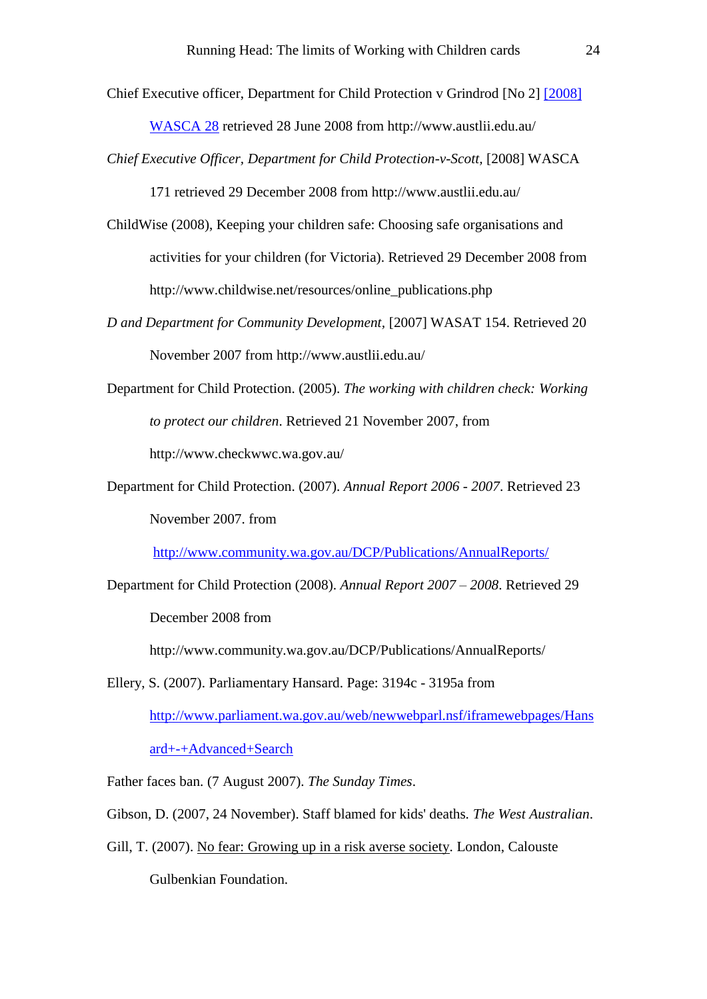Chief Executive officer, Department for Child Protection v Grindrod [No 2] [\[2008\]](http://www.austlii.edu.au/au/cases/wa/WASCA/2008/28.html) 

[WASCA 28](http://www.austlii.edu.au/au/cases/wa/WASCA/2008/28.html) retrieved 28 June 2008 from http://www.austlii.edu.au/

*Chief Executive Officer, Department for Child Protection-v-Scott,* [2008] WASCA

171 retrieved 29 December 2008 from http://www.austlii.edu.au/

- ChildWise (2008), Keeping your children safe: Choosing safe organisations and activities for your children (for Victoria). Retrieved 29 December 2008 from http://www.childwise.net/resources/online\_publications.php
- *D and Department for Community Development,* [2007] WASAT 154. Retrieved 20 November 2007 from http://www.austlii.edu.au/
- Department for Child Protection. (2005). *The working with children check: Working to protect our children*. Retrieved 21 November 2007, from http://www.checkwwc.wa.gov.au/
- Department for Child Protection. (2007). *Annual Report 2006 - 2007*. Retrieved 23 November 2007. from

<http://www.community.wa.gov.au/DCP/Publications/AnnualReports/>

Department for Child Protection (2008). *Annual Report 2007 – 2008*. Retrieved 29 December 2008 from

http://www.community.wa.gov.au/DCP/Publications/AnnualReports/

Ellery, S. (2007). Parliamentary Hansard. Page: 3194c - 3195a from [http://www.parliament.wa.gov.au/web/newwebparl.nsf/iframewebpages/Hans](http://www.parliament.wa.gov.au/web/newwebparl.nsf/iframewebpages/Hansard+-+Advanced+Search) [ard+-+Advanced+Search](http://www.parliament.wa.gov.au/web/newwebparl.nsf/iframewebpages/Hansard+-+Advanced+Search)

Father faces ban. (7 August 2007). *The Sunday Times*.

Gibson, D. (2007, 24 November). Staff blamed for kids' deaths*. The West Australian*.

Gill, T. (2007). No fear: Growing up in a risk averse society. London, Calouste Gulbenkian Foundation.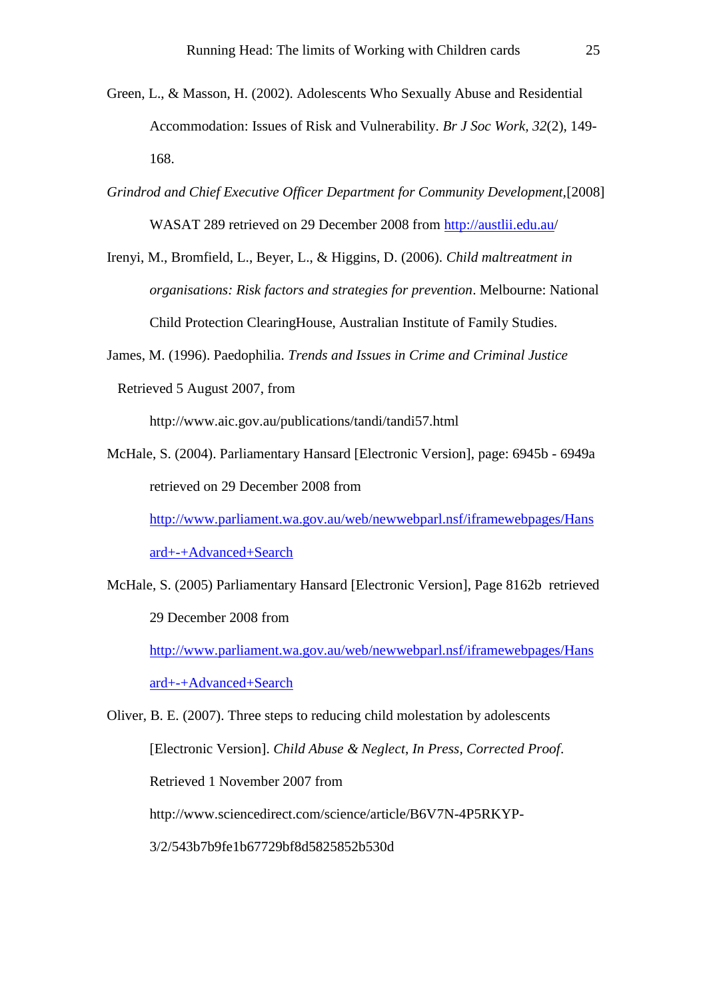- Green, L., & Masson, H. (2002). Adolescents Who Sexually Abuse and Residential Accommodation: Issues of Risk and Vulnerability. *Br J Soc Work, 32*(2), 149- 168.
- *Grindrod and Chief Executive Officer Department for Community Development,*[2008] WASAT 289 retrieved on 29 December 2008 from<http://austlii.edu.au/>
- Irenyi, M., Bromfield, L., Beyer, L., & Higgins, D. (2006). *Child maltreatment in organisations: Risk factors and strategies for prevention*. Melbourne: National Child Protection ClearingHouse, Australian Institute of Family Studies.
- James, M. (1996). Paedophilia. *Trends and Issues in Crime and Criminal Justice*  Retrieved 5 August 2007, from

http://www.aic.gov.au/publications/tandi/tandi57.html

McHale, S. (2004). Parliamentary Hansard [Electronic Version], page: 6945b - 6949a retrieved on 29 December 2008 from

[http://www.parliament.wa.gov.au/web/newwebparl.nsf/iframewebpages/Hans](http://www.parliament.wa.gov.au/web/newwebparl.nsf/iframewebpages/Hansard+-+Advanced+Search)

[ard+-+Advanced+Search](http://www.parliament.wa.gov.au/web/newwebparl.nsf/iframewebpages/Hansard+-+Advanced+Search)

McHale, S. (2005) Parliamentary Hansard [Electronic Version], Page 8162b retrieved 29 December 2008 from

[http://www.parliament.wa.gov.au/web/newwebparl.nsf/iframewebpages/Hans](http://www.parliament.wa.gov.au/web/newwebparl.nsf/iframewebpages/Hansard+-+Advanced+Search) [ard+-+Advanced+Search](http://www.parliament.wa.gov.au/web/newwebparl.nsf/iframewebpages/Hansard+-+Advanced+Search)

Oliver, B. E. (2007). Three steps to reducing child molestation by adolescents [Electronic Version]. *Child Abuse & Neglect*, *In Press, Corrected Proof*. Retrieved 1 November 2007 from http://www.sciencedirect.com/science/article/B6V7N-4P5RKYP-3/2/543b7b9fe1b67729bf8d5825852b530d